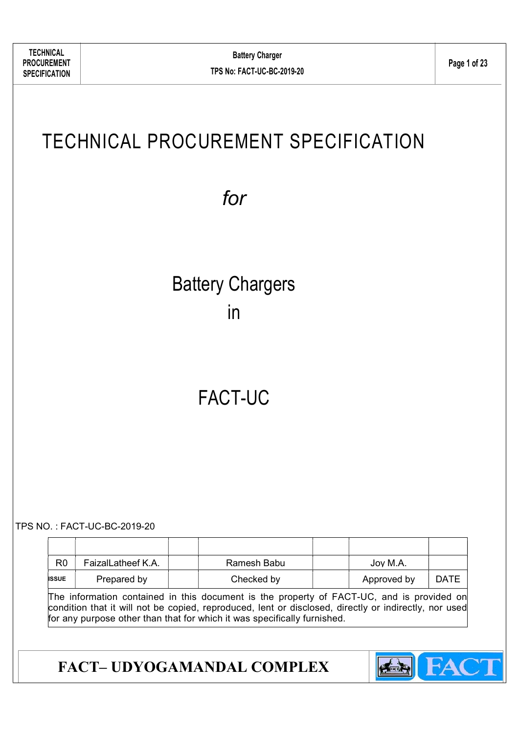# TECHNICAL PROCUREMENT SPECIFICATION

for

# Battery Chargers in

# FACT-UC

TPS NO. : FACT-UC-BC-2019-20

|              | R <sub>0</sub> | FaizalLatheef K.A. | Ramesh Babu | Joy M.A.    |             |
|--------------|----------------|--------------------|-------------|-------------|-------------|
| <b>ISSUE</b> |                | Prepared by        | Checked by  | Approved by | <b>DATE</b> |

The information contained in this document is the property of FACT-UC, and is provided on condition that it will not be copied, reproduced, lent or disclosed, directly or indirectly, nor used for any purpose other than that for which it was specifically furnished.

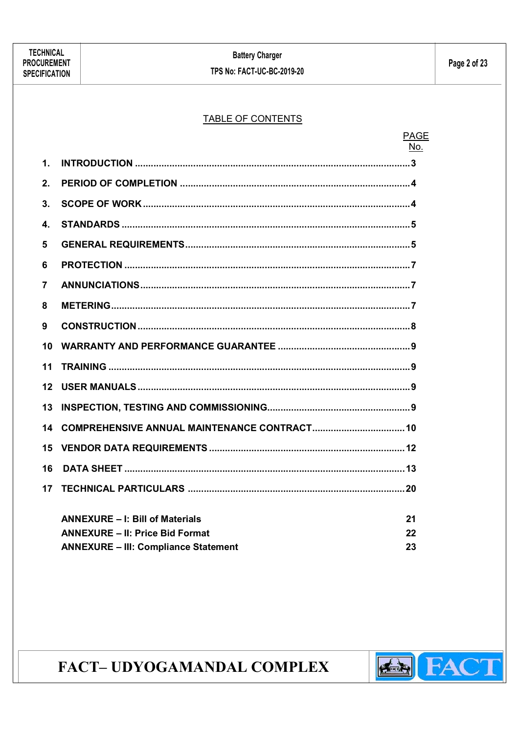#### TABLE OF CONTENTS

|             |                                             | <b>PAGE</b><br>No. |
|-------------|---------------------------------------------|--------------------|
| $\mathbf 1$ |                                             |                    |
| 2.          |                                             |                    |
| 3.          |                                             |                    |
| 4.          |                                             |                    |
| 5           |                                             |                    |
| 6           |                                             |                    |
| 7           |                                             |                    |
| 8           |                                             |                    |
| 9           |                                             |                    |
| 10          |                                             |                    |
| 11          |                                             |                    |
| 12          |                                             |                    |
| 13          |                                             |                    |
| 14          |                                             |                    |
| 15          |                                             |                    |
| 16          |                                             |                    |
| 17          |                                             |                    |
|             | <b>ANNEXURE - I: Bill of Materials</b>      | 21                 |
|             | <b>ANNEXURE - II: Price Bid Format</b>      | 22                 |
|             | <b>ANNEXURE - III: Compliance Statement</b> | 23                 |
|             |                                             |                    |

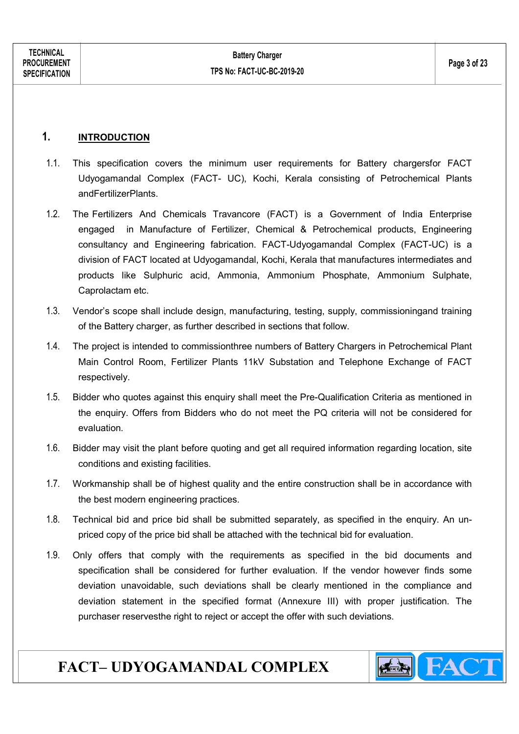#### 1. INTRODUCTION

- 1.1. This specification covers the minimum user requirements for Battery chargersfor FACT Udyogamandal Complex (FACT- UC), Kochi, Kerala consisting of Petrochemical Plants andFertilizerPlants.
- 1.2. The Fertilizers And Chemicals Travancore (FACT) is a Government of India Enterprise engaged in Manufacture of Fertilizer, Chemical & Petrochemical products, Engineering consultancy and Engineering fabrication. FACT-Udyogamandal Complex (FACT-UC) is a division of FACT located at Udyogamandal, Kochi, Kerala that manufactures intermediates and products like Sulphuric acid, Ammonia, Ammonium Phosphate, Ammonium Sulphate, Caprolactam etc.
- 1.3. Vendor's scope shall include design, manufacturing, testing, supply, commissioningand training of the Battery charger, as further described in sections that follow.
- 1.4. The project is intended to commissionthree numbers of Battery Chargers in Petrochemical Plant Main Control Room, Fertilizer Plants 11kV Substation and Telephone Exchange of FACT respectively.
- 1.5. Bidder who quotes against this enquiry shall meet the Pre-Qualification Criteria as mentioned in the enquiry. Offers from Bidders who do not meet the PQ criteria will not be considered for evaluation.
- 1.6. Bidder may visit the plant before quoting and get all required information regarding location, site conditions and existing facilities.
- 1.7. Workmanship shall be of highest quality and the entire construction shall be in accordance with the best modern engineering practices.
- 1.8. Technical bid and price bid shall be submitted separately, as specified in the enquiry. An unpriced copy of the price bid shall be attached with the technical bid for evaluation.
- 1.9. Only offers that comply with the requirements as specified in the bid documents and specification shall be considered for further evaluation. If the vendor however finds some deviation unavoidable, such deviations shall be clearly mentioned in the compliance and deviation statement in the specified format (Annexure III) with proper justification. The purchaser reservesthe right to reject or accept the offer with such deviations.

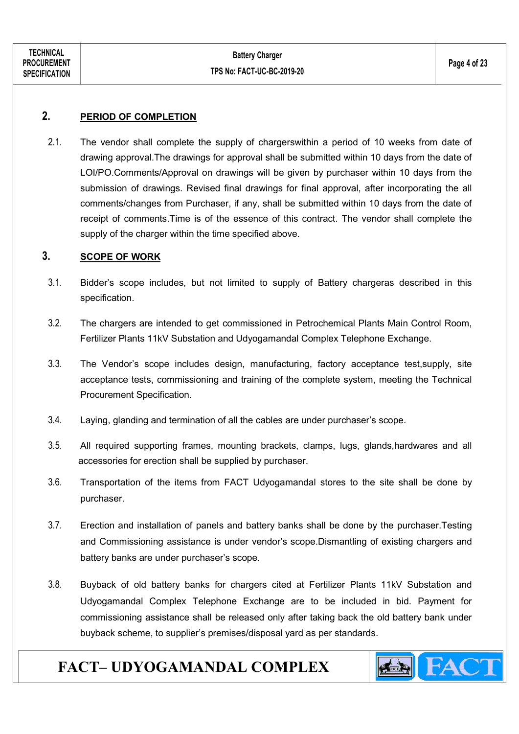#### 2. PERIOD OF COMPLETION

2.1. The vendor shall complete the supply of chargerswithin a period of 10 weeks from date of drawing approval.The drawings for approval shall be submitted within 10 days from the date of LOI/PO.Comments/Approval on drawings will be given by purchaser within 10 days from the submission of drawings. Revised final drawings for final approval, after incorporating the all comments/changes from Purchaser, if any, shall be submitted within 10 days from the date of receipt of comments.Time is of the essence of this contract. The vendor shall complete the supply of the charger within the time specified above.

#### 3. SCOPE OF WORK

- 3.1. Bidder's scope includes, but not limited to supply of Battery chargeras described in this specification.
- 3.2. The chargers are intended to get commissioned in Petrochemical Plants Main Control Room, Fertilizer Plants 11kV Substation and Udyogamandal Complex Telephone Exchange.
- 3.3. The Vendor's scope includes design, manufacturing, factory acceptance test,supply, site acceptance tests, commissioning and training of the complete system, meeting the Technical Procurement Specification.
- 3.4. Laying, glanding and termination of all the cables are under purchaser's scope.
- 3.5. All required supporting frames, mounting brackets, clamps, lugs, glands,hardwares and all accessories for erection shall be supplied by purchaser.
- 3.6. Transportation of the items from FACT Udyogamandal stores to the site shall be done by purchaser.
- 3.7. Erection and installation of panels and battery banks shall be done by the purchaser.Testing and Commissioning assistance is under vendor's scope.Dismantling of existing chargers and battery banks are under purchaser's scope.
- 3.8. Buyback of old battery banks for chargers cited at Fertilizer Plants 11kV Substation and Udyogamandal Complex Telephone Exchange are to be included in bid. Payment for commissioning assistance shall be released only after taking back the old battery bank under buyback scheme, to supplier's premises/disposal yard as per standards.

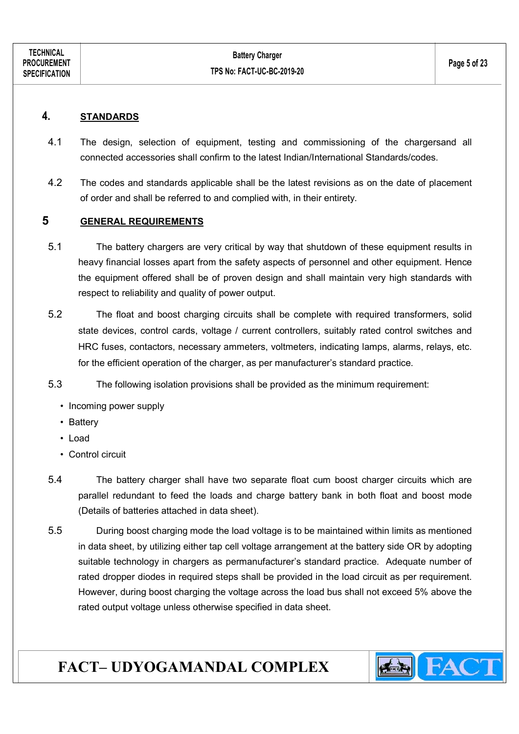#### 4. STANDARDS

- 4.1 The design, selection of equipment, testing and commissioning of the chargersand all connected accessories shall confirm to the latest Indian/International Standards/codes.
- 4.2 The codes and standards applicable shall be the latest revisions as on the date of placement of order and shall be referred to and complied with, in their entirety.

#### 5 GENERAL REQUIREMENTS

- 5.1 The battery chargers are very critical by way that shutdown of these equipment results in heavy financial losses apart from the safety aspects of personnel and other equipment. Hence the equipment offered shall be of proven design and shall maintain very high standards with respect to reliability and quality of power output.
- 5.2 The float and boost charging circuits shall be complete with required transformers, solid state devices, control cards, voltage / current controllers, suitably rated control switches and HRC fuses, contactors, necessary ammeters, voltmeters, indicating lamps, alarms, relays, etc. for the efficient operation of the charger, as per manufacturer's standard practice.
- 5.3 The following isolation provisions shall be provided as the minimum requirement:
	- Incoming power supply
	- Battery
	- Load
	- Control circuit
- 5.4 The battery charger shall have two separate float cum boost charger circuits which are parallel redundant to feed the loads and charge battery bank in both float and boost mode (Details of batteries attached in data sheet).
- 5.5 During boost charging mode the load voltage is to be maintained within limits as mentioned in data sheet, by utilizing either tap cell voltage arrangement at the battery side OR by adopting suitable technology in chargers as permanufacturer's standard practice. Adequate number of rated dropper diodes in required steps shall be provided in the load circuit as per requirement. However, during boost charging the voltage across the load bus shall not exceed 5% above the rated output voltage unless otherwise specified in data sheet.

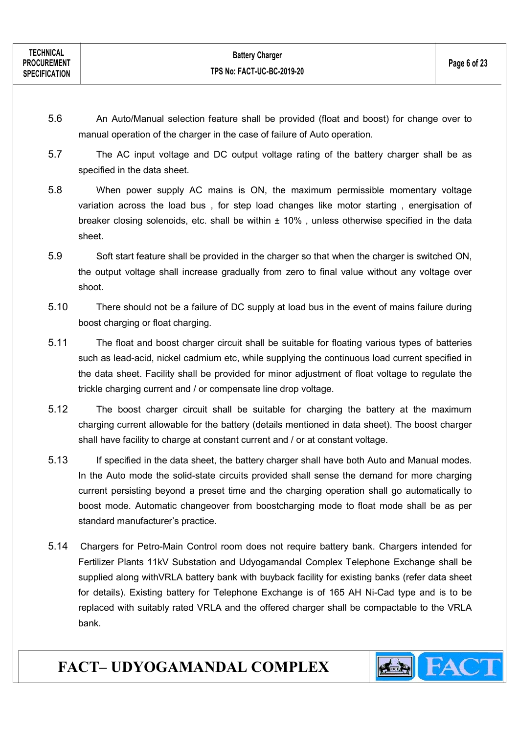- 5.6 An Auto/Manual selection feature shall be provided (float and boost) for change over to manual operation of the charger in the case of failure of Auto operation.
- 5.7 The AC input voltage and DC output voltage rating of the battery charger shall be as specified in the data sheet.
- 5.8 When power supply AC mains is ON, the maximum permissible momentary voltage variation across the load bus , for step load changes like motor starting , energisation of breaker closing solenoids, etc. shall be within  $\pm$  10%, unless otherwise specified in the data sheet.
- 5.9 Soft start feature shall be provided in the charger so that when the charger is switched ON, the output voltage shall increase gradually from zero to final value without any voltage over shoot.
- 5.10 There should not be a failure of DC supply at load bus in the event of mains failure during boost charging or float charging.
- 5.11 The float and boost charger circuit shall be suitable for floating various types of batteries such as lead-acid, nickel cadmium etc, while supplying the continuous load current specified in the data sheet. Facility shall be provided for minor adjustment of float voltage to regulate the trickle charging current and / or compensate line drop voltage.
- 5.12 The boost charger circuit shall be suitable for charging the battery at the maximum charging current allowable for the battery (details mentioned in data sheet). The boost charger shall have facility to charge at constant current and / or at constant voltage.
- 5.13 If specified in the data sheet, the battery charger shall have both Auto and Manual modes. In the Auto mode the solid-state circuits provided shall sense the demand for more charging current persisting beyond a preset time and the charging operation shall go automatically to boost mode. Automatic changeover from boostcharging mode to float mode shall be as per standard manufacturer's practice.
- 5.14 Chargers for Petro-Main Control room does not require battery bank. Chargers intended for Fertilizer Plants 11kV Substation and Udyogamandal Complex Telephone Exchange shall be supplied along withVRLA battery bank with buyback facility for existing banks (refer data sheet for details). Existing battery for Telephone Exchange is of 165 AH Ni-Cad type and is to be replaced with suitably rated VRLA and the offered charger shall be compactable to the VRLA bank.

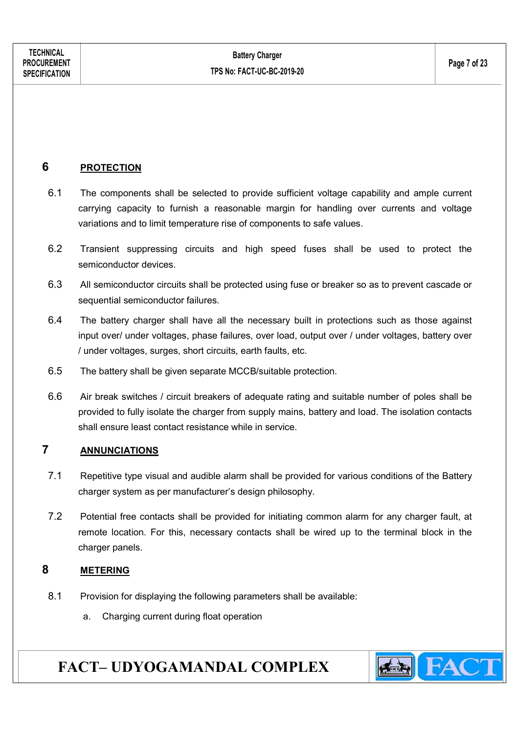#### 6 PROTECTION

- 6.1 The components shall be selected to provide sufficient voltage capability and ample current carrying capacity to furnish a reasonable margin for handling over currents and voltage variations and to limit temperature rise of components to safe values.
- 6.2 Transient suppressing circuits and high speed fuses shall be used to protect the semiconductor devices.
- 6.3 All semiconductor circuits shall be protected using fuse or breaker so as to prevent cascade or sequential semiconductor failures.
- 6.4 The battery charger shall have all the necessary built in protections such as those against input over/ under voltages, phase failures, over load, output over / under voltages, battery over / under voltages, surges, short circuits, earth faults, etc.
- 6.5 The battery shall be given separate MCCB/suitable protection.
- 6.6 Air break switches / circuit breakers of adequate rating and suitable number of poles shall be provided to fully isolate the charger from supply mains, battery and load. The isolation contacts shall ensure least contact resistance while in service.

#### 7 ANNUNCIATIONS

- 7.1 Repetitive type visual and audible alarm shall be provided for various conditions of the Battery charger system as per manufacturer's design philosophy.
- 7.2 Potential free contacts shall be provided for initiating common alarm for any charger fault, at remote location. For this, necessary contacts shall be wired up to the terminal block in the charger panels.

#### 8 METERING

- 8.1 Provision for displaying the following parameters shall be available:
	- a. Charging current during float operation

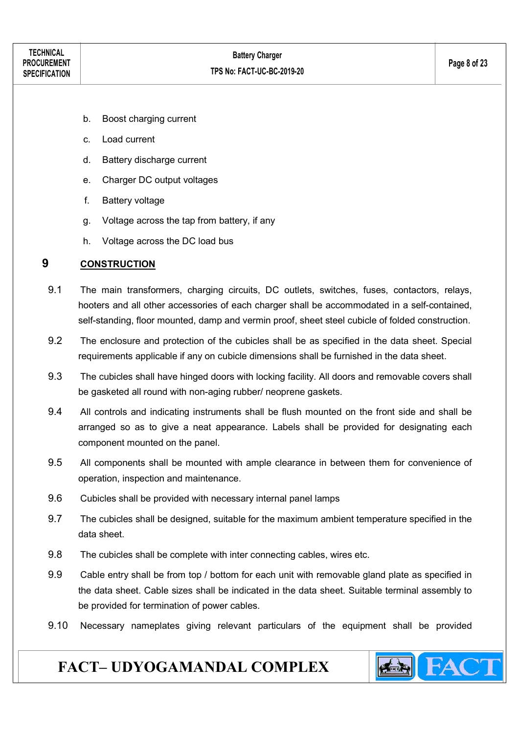- b. Boost charging current
- c. Load current
- d. Battery discharge current
- e. Charger DC output voltages
- f. Battery voltage
- g. Voltage across the tap from battery, if any
- h. Voltage across the DC load bus

#### 9 CONSTRUCTION

- 9.1 The main transformers, charging circuits, DC outlets, switches, fuses, contactors, relays, hooters and all other accessories of each charger shall be accommodated in a self-contained, self-standing, floor mounted, damp and vermin proof, sheet steel cubicle of folded construction.
- 9.2 The enclosure and protection of the cubicles shall be as specified in the data sheet. Special requirements applicable if any on cubicle dimensions shall be furnished in the data sheet.
- 9.3 The cubicles shall have hinged doors with locking facility. All doors and removable covers shall be gasketed all round with non-aging rubber/ neoprene gaskets.
- 9.4 All controls and indicating instruments shall be flush mounted on the front side and shall be arranged so as to give a neat appearance. Labels shall be provided for designating each component mounted on the panel.
- 9.5 All components shall be mounted with ample clearance in between them for convenience of operation, inspection and maintenance.
- 9.6 Cubicles shall be provided with necessary internal panel lamps
- 9.7 The cubicles shall be designed, suitable for the maximum ambient temperature specified in the data sheet.
- 9.8 The cubicles shall be complete with inter connecting cables, wires etc.
- 9.9 Cable entry shall be from top / bottom for each unit with removable gland plate as specified in the data sheet. Cable sizes shall be indicated in the data sheet. Suitable terminal assembly to be provided for termination of power cables.
- 9.10 Necessary nameplates giving relevant particulars of the equipment shall be provided

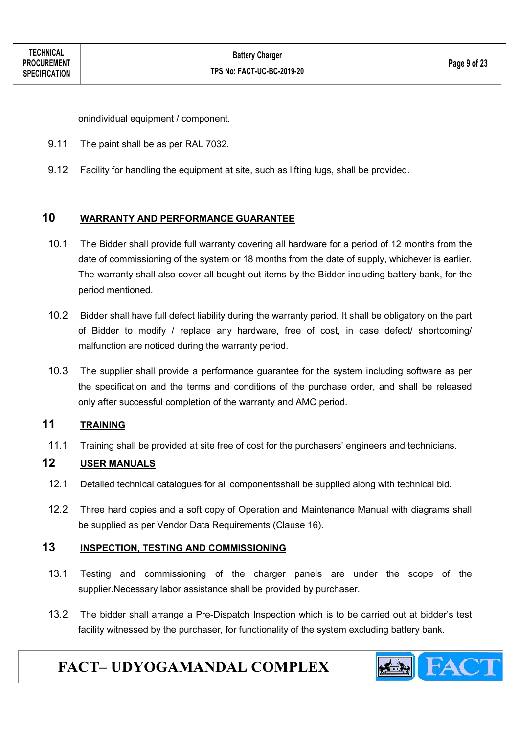onindividual equipment / component.

- 9.11 The paint shall be as per RAL 7032.
- 9.12 Facility for handling the equipment at site, such as lifting lugs, shall be provided.

#### 10 WARRANTY AND PERFORMANCE GUARANTEE

- 10.1 The Bidder shall provide full warranty covering all hardware for a period of 12 months from the date of commissioning of the system or 18 months from the date of supply, whichever is earlier. The warranty shall also cover all bought-out items by the Bidder including battery bank, for the period mentioned.
- 10.2 Bidder shall have full defect liability during the warranty period. It shall be obligatory on the part of Bidder to modify / replace any hardware, free of cost, in case defect/ shortcoming/ malfunction are noticed during the warranty period.
- 10.3 The supplier shall provide a performance guarantee for the system including software as per the specification and the terms and conditions of the purchase order, and shall be released only after successful completion of the warranty and AMC period.

#### 11 TRAINING

11.1 Training shall be provided at site free of cost for the purchasers' engineers and technicians.

#### 12 USER MANUALS

- 12.1 Detailed technical catalogues for all componentsshall be supplied along with technical bid.
- 12.2 Three hard copies and a soft copy of Operation and Maintenance Manual with diagrams shall be supplied as per Vendor Data Requirements (Clause 16).

#### 13 INSPECTION, TESTING AND COMMISSIONING

- 13.1 Testing and commissioning of the charger panels are under the scope of the supplier.Necessary labor assistance shall be provided by purchaser.
- 13.2 The bidder shall arrange a Pre-Dispatch Inspection which is to be carried out at bidder's test facility witnessed by the purchaser, for functionality of the system excluding battery bank.

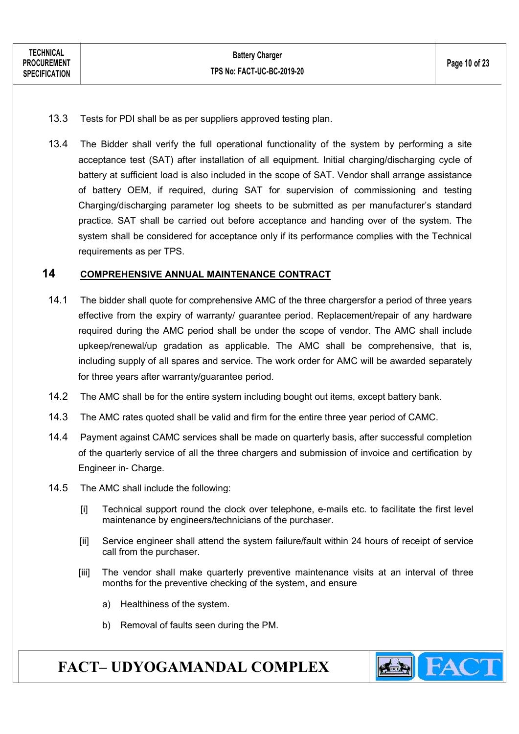- 13.3 Tests for PDI shall be as per suppliers approved testing plan.
- 13.4 The Bidder shall verify the full operational functionality of the system by performing a site acceptance test (SAT) after installation of all equipment. Initial charging/discharging cycle of battery at sufficient load is also included in the scope of SAT. Vendor shall arrange assistance of battery OEM, if required, during SAT for supervision of commissioning and testing Charging/discharging parameter log sheets to be submitted as per manufacturer's standard practice. SAT shall be carried out before acceptance and handing over of the system. The system shall be considered for acceptance only if its performance complies with the Technical requirements as per TPS.

#### 14 COMPREHENSIVE ANNUAL MAINTENANCE CONTRACT

- 14.1 The bidder shall quote for comprehensive AMC of the three chargersfor a period of three years effective from the expiry of warranty/ guarantee period. Replacement/repair of any hardware required during the AMC period shall be under the scope of vendor. The AMC shall include upkeep/renewal/up gradation as applicable. The AMC shall be comprehensive, that is, including supply of all spares and service. The work order for AMC will be awarded separately for three years after warranty/guarantee period.
- 14.2 The AMC shall be for the entire system including bought out items, except battery bank.
- 14.3 The AMC rates quoted shall be valid and firm for the entire three year period of CAMC.
- 14.4 Payment against CAMC services shall be made on quarterly basis, after successful completion of the quarterly service of all the three chargers and submission of invoice and certification by Engineer in- Charge.
- 14.5 The AMC shall include the following:
	- [i] Technical support round the clock over telephone, e-mails etc. to facilitate the first level maintenance by engineers/technicians of the purchaser.
	- [ii] Service engineer shall attend the system failure/fault within 24 hours of receipt of service call from the purchaser.
	- [iii] The vendor shall make quarterly preventive maintenance visits at an interval of three months for the preventive checking of the system, and ensure
		- a) Healthiness of the system.
		- b) Removal of faults seen during the PM.

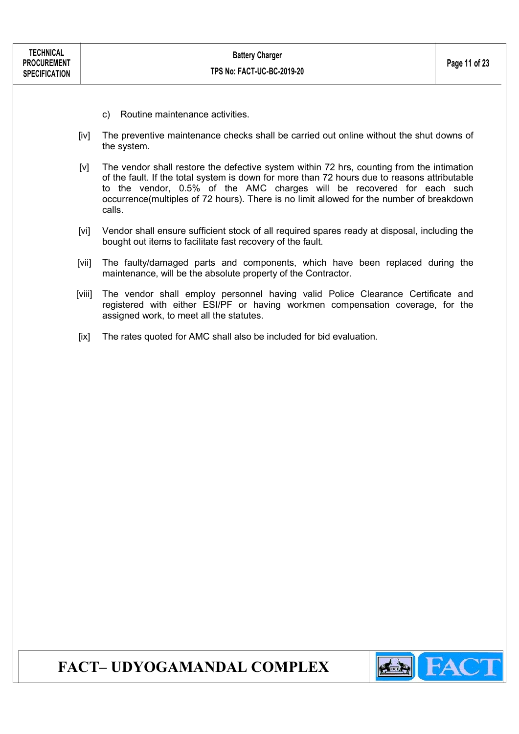- c) Routine maintenance activities.
- [iv] The preventive maintenance checks shall be carried out online without the shut downs of the system.
- [v] The vendor shall restore the defective system within 72 hrs, counting from the intimation of the fault. If the total system is down for more than 72 hours due to reasons attributable to the vendor, 0.5% of the AMC charges will be recovered for each such occurrence(multiples of 72 hours). There is no limit allowed for the number of breakdown calls.
- [vi] Vendor shall ensure sufficient stock of all required spares ready at disposal, including the bought out items to facilitate fast recovery of the fault.
- [vii] The faulty/damaged parts and components, which have been replaced during the maintenance, will be the absolute property of the Contractor.
- [viii] The vendor shall employ personnel having valid Police Clearance Certificate and registered with either ESI/PF or having workmen compensation coverage, for the assigned work, to meet all the statutes.
- [ix] The rates quoted for AMC shall also be included for bid evaluation.

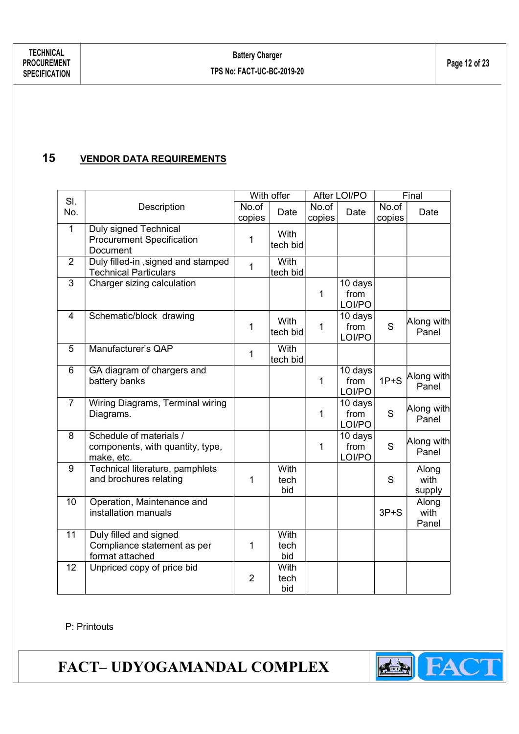#### 15 **VENDOR DATA REQUIREMENTS**

| SI.            |                                                                           | With offer      |                         |                 | After LOI/PO              |                 | Final                   |  |
|----------------|---------------------------------------------------------------------------|-----------------|-------------------------|-----------------|---------------------------|-----------------|-------------------------|--|
| No.            | Description                                                               | No.of<br>copies | Date                    | No.of<br>copies | Date                      | No.of<br>copies | Date                    |  |
| $\mathbf 1$    | Duly signed Technical<br><b>Procurement Specification</b><br>Document     | 1               | With<br>tech bid        |                 |                           |                 |                         |  |
| 2              | Duly filled-in , signed and stamped<br><b>Technical Particulars</b>       | $\mathbf{1}$    | With<br>tech bid        |                 |                           |                 |                         |  |
| 3              | Charger sizing calculation                                                |                 |                         | 1               | 10 days<br>from<br>LOI/PO |                 |                         |  |
| 4              | Schematic/block drawing                                                   | $\mathbf{1}$    | With<br>tech bid        | 1               | 10 days<br>from<br>LOI/PO | S               | Along with<br>Panel     |  |
| 5              | Manufacturer's QAP                                                        | 1               | <b>With</b><br>tech bid |                 |                           |                 |                         |  |
| 6              | GA diagram of chargers and<br>battery banks                               |                 |                         | $\mathbf{1}$    | 10 days<br>from<br>LOI/PO | $1P + S$        | Along with<br>Panel     |  |
| $\overline{7}$ | Wiring Diagrams, Terminal wiring<br>Diagrams.                             |                 |                         | $\mathbf{1}$    | 10 days<br>from<br>LOI/PO | S               | Along with<br>Panel     |  |
| 8              | Schedule of materials /<br>components, with quantity, type,<br>make, etc. |                 |                         | 1               | 10 days<br>from<br>LOI/PO | S               | Along with<br>Panel     |  |
| 9              | Technical literature, pamphlets<br>and brochures relating                 | $\mathbf 1$     | With<br>tech<br>bid     |                 |                           | S               | Along<br>with<br>supply |  |
| 10             | Operation, Maintenance and<br>installation manuals                        |                 |                         |                 |                           | $3P + S$        | Along<br>with<br>Panel  |  |
| 11             | Duly filled and signed<br>Compliance statement as per<br>format attached  | $\mathbf{1}$    | With<br>tech<br>bid     |                 |                           |                 |                         |  |
| 12             | Unpriced copy of price bid                                                | $\overline{2}$  | With<br>tech<br>bid     |                 |                           |                 |                         |  |

#### P: Printouts

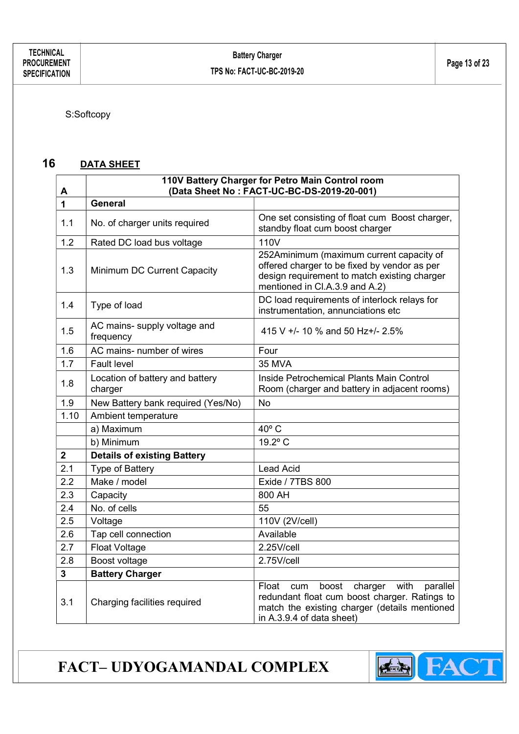S:Softcopy

#### 16 DATA SHEET

| А              | 110V Battery Charger for Petro Main Control room<br>(Data Sheet No: FACT-UC-BC-DS-2019-20-001) |                                                                                                                                                                                     |  |  |  |
|----------------|------------------------------------------------------------------------------------------------|-------------------------------------------------------------------------------------------------------------------------------------------------------------------------------------|--|--|--|
| $\overline{1}$ | <b>General</b>                                                                                 |                                                                                                                                                                                     |  |  |  |
| 1.1            | No. of charger units required                                                                  | One set consisting of float cum Boost charger,<br>standby float cum boost charger                                                                                                   |  |  |  |
| 1.2            | Rated DC load bus voltage                                                                      | 110V                                                                                                                                                                                |  |  |  |
| 1.3            | Minimum DC Current Capacity                                                                    | 252Aminimum (maximum current capacity of<br>offered charger to be fixed by vendor as per<br>design requirement to match existing charger<br>mentioned in Cl.A.3.9 and A.2)          |  |  |  |
| 1.4            | Type of load                                                                                   | DC load requirements of interlock relays for<br>instrumentation, annunciations etc                                                                                                  |  |  |  |
| 1.5            | AC mains- supply voltage and<br>frequency                                                      | 415 V +/- 10 % and 50 Hz+/- 2.5%                                                                                                                                                    |  |  |  |
| 1.6            | AC mains- number of wires                                                                      | Four                                                                                                                                                                                |  |  |  |
| 1.7            | <b>Fault level</b>                                                                             | <b>35 MVA</b>                                                                                                                                                                       |  |  |  |
| 1.8            | Location of battery and battery<br>charger                                                     | Inside Petrochemical Plants Main Control<br>Room (charger and battery in adjacent rooms)                                                                                            |  |  |  |
| 1.9            | New Battery bank required (Yes/No)                                                             | No                                                                                                                                                                                  |  |  |  |
| 1.10           | Ambient temperature                                                                            |                                                                                                                                                                                     |  |  |  |
|                | a) Maximum                                                                                     | $40^{\circ}$ C                                                                                                                                                                      |  |  |  |
|                | b) Minimum                                                                                     | 19.2° C                                                                                                                                                                             |  |  |  |
| $\overline{2}$ | <b>Details of existing Battery</b>                                                             |                                                                                                                                                                                     |  |  |  |
| 2.1            | Type of Battery                                                                                | <b>Lead Acid</b>                                                                                                                                                                    |  |  |  |
| 2.2            | Make / model                                                                                   | Exide / 7TBS 800                                                                                                                                                                    |  |  |  |
| 2.3            | Capacity                                                                                       | 800 AH                                                                                                                                                                              |  |  |  |
| 2.4            | No. of cells                                                                                   | 55                                                                                                                                                                                  |  |  |  |
| 2.5            | Voltage                                                                                        | 110V (2V/cell)                                                                                                                                                                      |  |  |  |
| 2.6            | Tap cell connection                                                                            | Available                                                                                                                                                                           |  |  |  |
| 2.7            | <b>Float Voltage</b>                                                                           | 2.25V/cell                                                                                                                                                                          |  |  |  |
| 2.8            | Boost voltage                                                                                  | 2.75V/cell                                                                                                                                                                          |  |  |  |
| 3              | <b>Battery Charger</b>                                                                         |                                                                                                                                                                                     |  |  |  |
| 3.1            | Charging facilities required                                                                   | Float<br>boost<br>charger<br>with<br>parallel<br>cum<br>redundant float cum boost charger. Ratings to<br>match the existing charger (details mentioned<br>in A.3.9.4 of data sheet) |  |  |  |

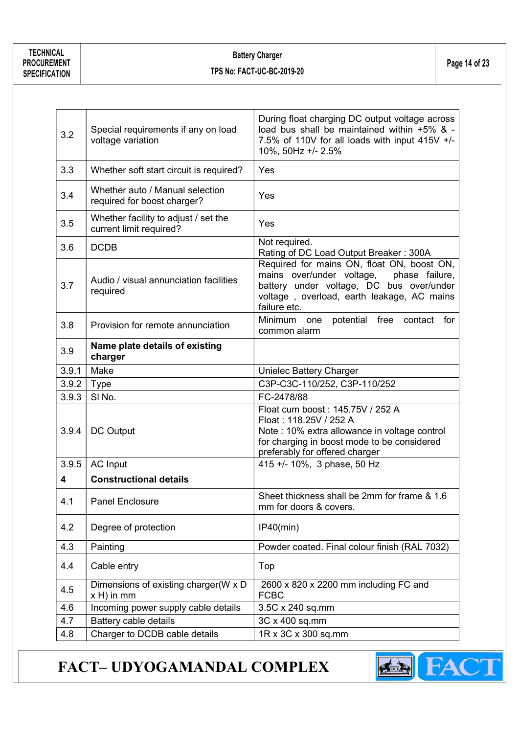#### Battery Charger Examely Unit of 23<br>TPS No: FACT-UC-BC-2019-20

| 3.2   | Special requirements if any on load<br>voltage variation        | During float charging DC output voltage across<br>load bus shall be maintained within +5% & -<br>7.5% of 110V for all loads with input 415V +/-<br>10%, 50Hz +/- 2.5%                            |  |
|-------|-----------------------------------------------------------------|--------------------------------------------------------------------------------------------------------------------------------------------------------------------------------------------------|--|
| 3.3   | Whether soft start circuit is required?                         | Yes                                                                                                                                                                                              |  |
| 3.4   | Whether auto / Manual selection<br>required for boost charger?  | Yes                                                                                                                                                                                              |  |
| 3.5   | Whether facility to adjust / set the<br>current limit required? | Yes                                                                                                                                                                                              |  |
| 3.6   | <b>DCDB</b>                                                     | Not required.<br>Rating of DC Load Output Breaker: 300A                                                                                                                                          |  |
| 3.7   | Audio / visual annunciation facilities<br>required              | Required for mains ON, float ON, boost ON,<br>mains over/under voltage, phase failure,<br>battery under voltage, DC bus over/under<br>voltage, overload, earth leakage, AC mains<br>failure etc. |  |
| 3.8   | Provision for remote annunciation                               | Minimum<br>potential free contact<br>one<br>for<br>common alarm                                                                                                                                  |  |
| 3.9   | Name plate details of existing<br>charger                       |                                                                                                                                                                                                  |  |
| 3.9.1 | Make                                                            | Unielec Battery Charger                                                                                                                                                                          |  |
| 3.9.2 | C3P-C3C-110/252, C3P-110/252<br><b>Type</b>                     |                                                                                                                                                                                                  |  |
| 3.9.3 | SI <sub>No.</sub>                                               | FC-2478/88                                                                                                                                                                                       |  |
| 3.9.4 | DC Output                                                       | Float cum boost: 145.75V / 252 A<br>Float: 118.25V / 252 A<br>Note : 10% extra allowance in voltage control<br>for charging in boost mode to be considered<br>preferably for offered charger     |  |
| 3.9.5 | <b>AC Input</b>                                                 | 415 +/- 10%, 3 phase, 50 Hz                                                                                                                                                                      |  |
| 4     | <b>Constructional details</b>                                   |                                                                                                                                                                                                  |  |
| 4.1   | Panel Enclosure                                                 | Sheet thickness shall be 2mm for frame & 1.6<br>mm for doors & covers.                                                                                                                           |  |
| 4.2   | Degree of protection                                            | IP40(min)                                                                                                                                                                                        |  |
| 4.3   | Painting                                                        | Powder coated. Final colour finish (RAL 7032)                                                                                                                                                    |  |
| 4.4   | Cable entry                                                     | Top                                                                                                                                                                                              |  |
| 4.5   | Dimensions of existing charger(W x D<br>$x H$ ) in mm           | 2600 x 820 x 2200 mm including FC and<br><b>FCBC</b>                                                                                                                                             |  |
| 4.6   | Incoming power supply cable details                             | 3.5C x 240 sq.mm                                                                                                                                                                                 |  |
| 4.7   | Battery cable details                                           | 3C x 400 sq.mm                                                                                                                                                                                   |  |
| 4.8   | Charger to DCDB cable details                                   | 1R x 3C x 300 sq.mm                                                                                                                                                                              |  |

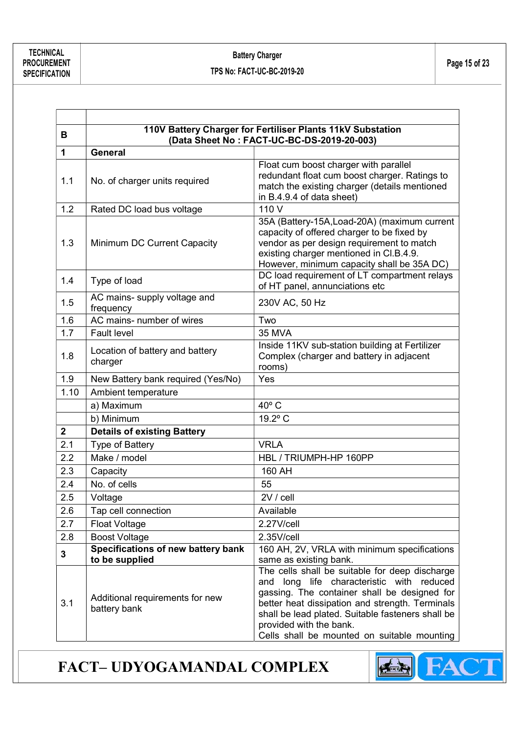ľ

|              | 110V Battery Charger for Fertiliser Plants 11kV Substation |                                                                                                                                                                                                                                                                                                                                  |  |  |  |  |
|--------------|------------------------------------------------------------|----------------------------------------------------------------------------------------------------------------------------------------------------------------------------------------------------------------------------------------------------------------------------------------------------------------------------------|--|--|--|--|
| в            | (Data Sheet No: FACT-UC-BC-DS-2019-20-003)                 |                                                                                                                                                                                                                                                                                                                                  |  |  |  |  |
| 1            | <b>General</b>                                             |                                                                                                                                                                                                                                                                                                                                  |  |  |  |  |
| 1.1          | No. of charger units required                              | Float cum boost charger with parallel<br>redundant float cum boost charger. Ratings to<br>match the existing charger (details mentioned<br>in B.4.9.4 of data sheet)                                                                                                                                                             |  |  |  |  |
| 1.2          | Rated DC load bus voltage                                  | 110 V                                                                                                                                                                                                                                                                                                                            |  |  |  |  |
| 1.3          | Minimum DC Current Capacity                                | 35A (Battery-15A, Load-20A) (maximum current<br>capacity of offered charger to be fixed by<br>vendor as per design requirement to match<br>existing charger mentioned in Cl.B.4.9.<br>However, minimum capacity shall be 35A DC)                                                                                                 |  |  |  |  |
| 1.4          | Type of load                                               | DC load requirement of LT compartment relays<br>of HT panel, annunciations etc                                                                                                                                                                                                                                                   |  |  |  |  |
| 1.5          | AC mains- supply voltage and<br>frequency                  | 230V AC, 50 Hz                                                                                                                                                                                                                                                                                                                   |  |  |  |  |
| 1.6          | AC mains- number of wires                                  | Two                                                                                                                                                                                                                                                                                                                              |  |  |  |  |
| 1.7          | <b>Fault level</b>                                         | <b>35 MVA</b>                                                                                                                                                                                                                                                                                                                    |  |  |  |  |
| 1.8          | Location of battery and battery<br>charger                 | Inside 11KV sub-station building at Fertilizer<br>Complex (charger and battery in adjacent<br>rooms)                                                                                                                                                                                                                             |  |  |  |  |
| 1.9          | New Battery bank required (Yes/No)                         | Yes                                                                                                                                                                                                                                                                                                                              |  |  |  |  |
| 1.10         | Ambient temperature                                        |                                                                                                                                                                                                                                                                                                                                  |  |  |  |  |
|              | a) Maximum                                                 | $40^{\circ}$ C                                                                                                                                                                                                                                                                                                                   |  |  |  |  |
|              | b) Minimum                                                 | 19.2° C                                                                                                                                                                                                                                                                                                                          |  |  |  |  |
| $\mathbf{2}$ | <b>Details of existing Battery</b>                         |                                                                                                                                                                                                                                                                                                                                  |  |  |  |  |
| 2.1          | Type of Battery                                            | <b>VRLA</b>                                                                                                                                                                                                                                                                                                                      |  |  |  |  |
| 2.2          | Make / model                                               | HBL / TRIUMPH-HP 160PP                                                                                                                                                                                                                                                                                                           |  |  |  |  |
| 2.3          | Capacity                                                   | 160 AH                                                                                                                                                                                                                                                                                                                           |  |  |  |  |
| 2.4          | No. of cells                                               | 55                                                                                                                                                                                                                                                                                                                               |  |  |  |  |
| 2.5          | Voltage                                                    | $2V /$ cell                                                                                                                                                                                                                                                                                                                      |  |  |  |  |
| 2.6          | Tap cell connection                                        | Available                                                                                                                                                                                                                                                                                                                        |  |  |  |  |
| 2.7          | <b>Float Voltage</b>                                       | 2.27V/cell                                                                                                                                                                                                                                                                                                                       |  |  |  |  |
| 2.8          | <b>Boost Voltage</b>                                       | 2.35V/cell                                                                                                                                                                                                                                                                                                                       |  |  |  |  |
| $\mathbf{3}$ | Specifications of new battery bank                         | 160 AH, 2V, VRLA with minimum specifications                                                                                                                                                                                                                                                                                     |  |  |  |  |
|              | to be supplied                                             | same as existing bank.                                                                                                                                                                                                                                                                                                           |  |  |  |  |
| 3.1          | Additional requirements for new<br>battery bank            | The cells shall be suitable for deep discharge<br>long life characteristic with reduced<br>and<br>gassing. The container shall be designed for<br>better heat dissipation and strength. Terminals<br>shall be lead plated. Suitable fasteners shall be<br>provided with the bank.<br>Cells shall be mounted on suitable mounting |  |  |  |  |

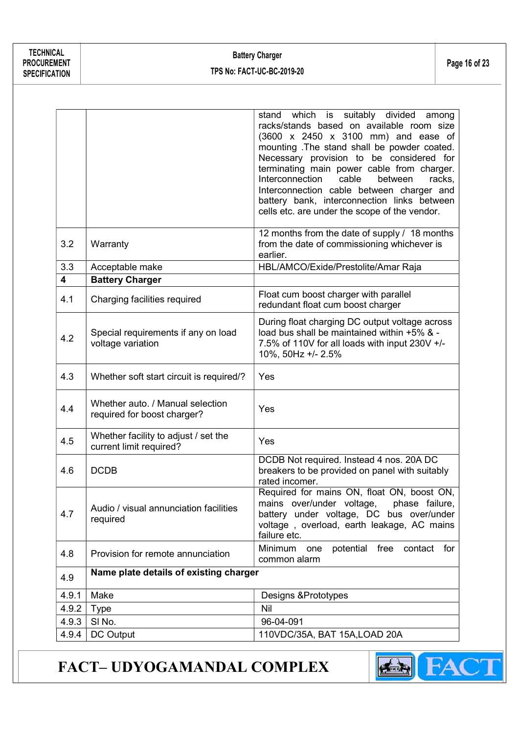TECHNICAL PROCUREMENT **SPECIFICATION** 

|                         |                                                                 | which<br>is<br>suitably divided<br>stand<br>among<br>racks/stands based on available room size<br>(3600 x 2450 x 3100 mm) and ease of<br>mounting .The stand shall be powder coated.<br>Necessary provision to be considered for<br>terminating main power cable from charger.<br>Interconnection<br>cable<br>between<br>racks,<br>Interconnection cable between charger and<br>battery bank, interconnection links between<br>cells etc. are under the scope of the vendor. |  |  |
|-------------------------|-----------------------------------------------------------------|------------------------------------------------------------------------------------------------------------------------------------------------------------------------------------------------------------------------------------------------------------------------------------------------------------------------------------------------------------------------------------------------------------------------------------------------------------------------------|--|--|
| 3.2                     | Warranty                                                        | 12 months from the date of supply / 18 months<br>from the date of commissioning whichever is<br>earlier.                                                                                                                                                                                                                                                                                                                                                                     |  |  |
| 3.3                     | Acceptable make                                                 | HBL/AMCO/Exide/Prestolite/Amar Raja                                                                                                                                                                                                                                                                                                                                                                                                                                          |  |  |
| $\overline{\mathbf{4}}$ | <b>Battery Charger</b>                                          |                                                                                                                                                                                                                                                                                                                                                                                                                                                                              |  |  |
| 4.1                     | Charging facilities required                                    | Float cum boost charger with parallel<br>redundant float cum boost charger                                                                                                                                                                                                                                                                                                                                                                                                   |  |  |
| 4.2                     | Special requirements if any on load<br>voltage variation        | During float charging DC output voltage across<br>load bus shall be maintained within +5% & -<br>7.5% of 110V for all loads with input 230V +/-<br>10%, 50Hz +/- 2.5%                                                                                                                                                                                                                                                                                                        |  |  |
| 4.3                     | Whether soft start circuit is required/?                        | Yes                                                                                                                                                                                                                                                                                                                                                                                                                                                                          |  |  |
| 4.4                     | Whether auto. / Manual selection<br>required for boost charger? | Yes                                                                                                                                                                                                                                                                                                                                                                                                                                                                          |  |  |
| 4.5                     | Whether facility to adjust / set the<br>current limit required? | Yes                                                                                                                                                                                                                                                                                                                                                                                                                                                                          |  |  |
| 4.6                     | <b>DCDB</b>                                                     | DCDB Not required. Instead 4 nos. 20A DC<br>breakers to be provided on panel with suitably<br>rated incomer.                                                                                                                                                                                                                                                                                                                                                                 |  |  |
| 4.7                     | Audio / visual annunciation facilities<br>required              | Required for mains ON, float ON, boost ON.<br>mains over/under voltage, phase failure,<br>battery under voltage, DC bus over/under<br>voltage, overload, earth leakage, AC mains<br>failure etc.                                                                                                                                                                                                                                                                             |  |  |
| 4.8                     | Provision for remote annunciation                               | Minimum<br>potential free contact for<br>one<br>common alarm                                                                                                                                                                                                                                                                                                                                                                                                                 |  |  |
| 4.9                     | Name plate details of existing charger                          |                                                                                                                                                                                                                                                                                                                                                                                                                                                                              |  |  |
| 4.9.1                   | Make                                                            | Designs & Prototypes                                                                                                                                                                                                                                                                                                                                                                                                                                                         |  |  |
| 4.9.2                   | <b>Type</b>                                                     | Nil                                                                                                                                                                                                                                                                                                                                                                                                                                                                          |  |  |
| 4.9.3                   | SI No.                                                          | 96-04-091                                                                                                                                                                                                                                                                                                                                                                                                                                                                    |  |  |
| 4.9.4                   | DC Output                                                       | 110VDC/35A, BAT 15A, LOAD 20A                                                                                                                                                                                                                                                                                                                                                                                                                                                |  |  |

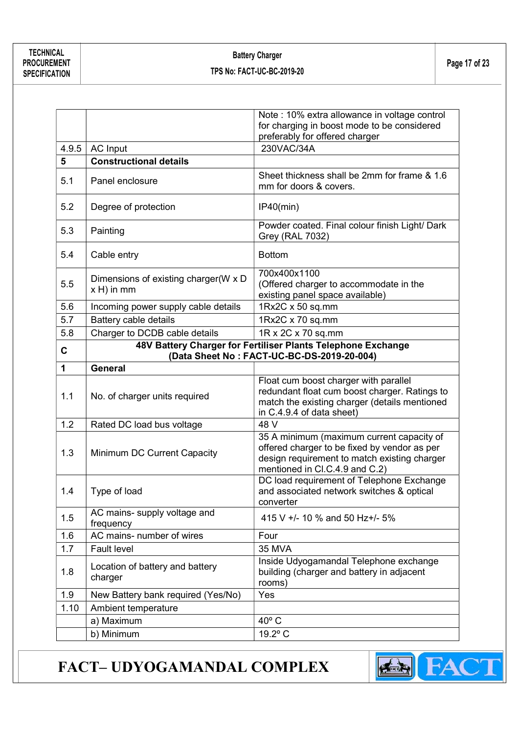#### Battery Charger Examely Unit of 23<br>TPS No: FACT-UC-BC-2019-20

|             |                                                    | Note : 10% extra allowance in voltage control<br>for charging in boost mode to be considered                                                                                |
|-------------|----------------------------------------------------|-----------------------------------------------------------------------------------------------------------------------------------------------------------------------------|
|             |                                                    | preferably for offered charger                                                                                                                                              |
| 4.9.5       | <b>AC Input</b>                                    | 230VAC/34A                                                                                                                                                                  |
| 5           | <b>Constructional details</b>                      |                                                                                                                                                                             |
| 5.1         | Panel enclosure                                    | Sheet thickness shall be 2mm for frame & 1.6<br>mm for doors & covers.                                                                                                      |
| 5.2         | Degree of protection                               | IP40(min)                                                                                                                                                                   |
| 5.3         | Painting                                           | Powder coated. Final colour finish Light/ Dark<br><b>Grey (RAL 7032)</b>                                                                                                    |
| 5.4         | Cable entry                                        | <b>Bottom</b>                                                                                                                                                               |
| 5.5         | Dimensions of existing charger(W x D<br>x H) in mm | 700x400x1100<br>(Offered charger to accommodate in the<br>existing panel space available)                                                                                   |
| 5.6         | Incoming power supply cable details                | 1Rx2C x 50 sq.mm                                                                                                                                                            |
| 5.7         | Battery cable details                              | 1Rx2C x 70 sq.mm                                                                                                                                                            |
| 5.8         | Charger to DCDB cable details                      | 1R x 2C x 70 sq.mm                                                                                                                                                          |
| C           |                                                    | 48V Battery Charger for Fertiliser Plants Telephone Exchange<br>(Data Sheet No: FACT-UC-BC-DS-2019-20-004)                                                                  |
| $\mathbf 1$ | <b>General</b>                                     |                                                                                                                                                                             |
| 1.1         | No. of charger units required                      | Float cum boost charger with parallel<br>redundant float cum boost charger. Ratings to<br>match the existing charger (details mentioned<br>in C.4.9.4 of data sheet)        |
| 1.2         | Rated DC load bus voltage                          | 48 V                                                                                                                                                                        |
| 1.3         | Minimum DC Current Capacity                        | 35 A minimum (maximum current capacity of<br>offered charger to be fixed by vendor as per<br>design requirement to match existing charger<br>mentioned in Cl.C.4.9 and C.2) |
| 1.4         | Type of load                                       | DC load requirement of Telephone Exchange<br>and associated network switches & optical<br>converter                                                                         |
| 1.5         | AC mains- supply voltage and<br>frequency          | 415 V +/- 10 % and 50 Hz+/- 5%                                                                                                                                              |
| 1.6         | AC mains- number of wires                          | Four                                                                                                                                                                        |
| 1.7         | <b>Fault level</b>                                 | <b>35 MVA</b>                                                                                                                                                               |
| 1.8         | Location of battery and battery<br>charger         | Inside Udyogamandal Telephone exchange<br>building (charger and battery in adjacent<br>rooms)                                                                               |
| 1.9         | New Battery bank required (Yes/No)                 | Yes                                                                                                                                                                         |
| 1.10        | Ambient temperature                                |                                                                                                                                                                             |
|             | a) Maximum                                         | $40^{\circ}$ C                                                                                                                                                              |
|             |                                                    |                                                                                                                                                                             |

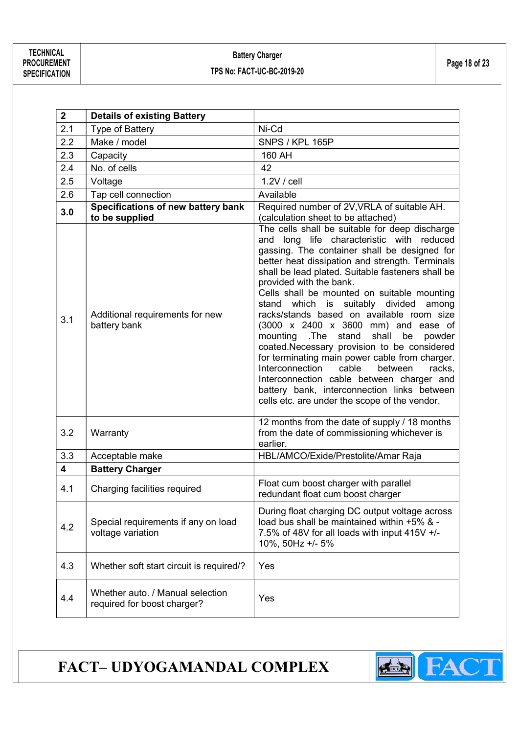#### Battery Charger Examely Unit of the Unit of the Unit of the Unit of the Page 18 of 23<br>TPS No: FACT-UC-BC-2019-20

| $\overline{2}$          | <b>Details of existing Battery</b>                              |                                                                                                                                                                                                                                                                                                                                                                                                                                                                                                                                                                                                                                                                                                                                                                                                                       |
|-------------------------|-----------------------------------------------------------------|-----------------------------------------------------------------------------------------------------------------------------------------------------------------------------------------------------------------------------------------------------------------------------------------------------------------------------------------------------------------------------------------------------------------------------------------------------------------------------------------------------------------------------------------------------------------------------------------------------------------------------------------------------------------------------------------------------------------------------------------------------------------------------------------------------------------------|
| 2.1                     | Type of Battery                                                 | Ni-Cd                                                                                                                                                                                                                                                                                                                                                                                                                                                                                                                                                                                                                                                                                                                                                                                                                 |
| 2.2                     | Make / model                                                    | SNPS / KPL 165P                                                                                                                                                                                                                                                                                                                                                                                                                                                                                                                                                                                                                                                                                                                                                                                                       |
| 2.3                     | Capacity                                                        | 160 AH                                                                                                                                                                                                                                                                                                                                                                                                                                                                                                                                                                                                                                                                                                                                                                                                                |
| 2.4                     | No. of cells                                                    | 42                                                                                                                                                                                                                                                                                                                                                                                                                                                                                                                                                                                                                                                                                                                                                                                                                    |
| 2.5                     | Voltage                                                         | $1.2V /$ cell                                                                                                                                                                                                                                                                                                                                                                                                                                                                                                                                                                                                                                                                                                                                                                                                         |
| 2.6                     | Tap cell connection                                             | Available                                                                                                                                                                                                                                                                                                                                                                                                                                                                                                                                                                                                                                                                                                                                                                                                             |
| 3.0                     | Specifications of new battery bank<br>to be supplied            | Required number of 2V, VRLA of suitable AH.<br>(calculation sheet to be attached)                                                                                                                                                                                                                                                                                                                                                                                                                                                                                                                                                                                                                                                                                                                                     |
| 3.1                     | Additional requirements for new<br>battery bank                 | The cells shall be suitable for deep discharge<br>and long life characteristic with reduced<br>gassing. The container shall be designed for<br>better heat dissipation and strength. Terminals<br>shall be lead plated. Suitable fasteners shall be<br>provided with the bank.<br>Cells shall be mounted on suitable mounting<br>which is<br>suitably divided<br>among<br>stand<br>racks/stands based on available room size<br>(3000 x 2400 x 3600 mm) and ease of<br>.The stand<br>mounting<br>shall<br>be<br>powder<br>coated.Necessary provision to be considered<br>for terminating main power cable from charger.<br>between<br>Interconnection<br>cable<br>racks,<br>Interconnection cable between charger and<br>battery bank, interconnection links between<br>cells etc. are under the scope of the vendor. |
| 3.2                     | Warranty                                                        | 12 months from the date of supply / 18 months<br>from the date of commissioning whichever is<br>earlier.                                                                                                                                                                                                                                                                                                                                                                                                                                                                                                                                                                                                                                                                                                              |
| 3.3                     | Acceptable make                                                 | HBL/AMCO/Exide/Prestolite/Amar Raja                                                                                                                                                                                                                                                                                                                                                                                                                                                                                                                                                                                                                                                                                                                                                                                   |
| $\overline{\mathbf{4}}$ | <b>Battery Charger</b>                                          |                                                                                                                                                                                                                                                                                                                                                                                                                                                                                                                                                                                                                                                                                                                                                                                                                       |
| 4.1                     | Charging facilities required                                    | Float cum boost charger with parallel<br>redundant float cum boost charger                                                                                                                                                                                                                                                                                                                                                                                                                                                                                                                                                                                                                                                                                                                                            |
| 4.2                     | Special requirements if any on load<br>voltage variation        | During float charging DC output voltage across<br>load bus shall be maintained within +5% & -<br>7.5% of 48V for all loads with input 415V +/-<br>10%, 50Hz +/- 5%                                                                                                                                                                                                                                                                                                                                                                                                                                                                                                                                                                                                                                                    |
| 4.3                     | Whether soft start circuit is required/?                        | Yes                                                                                                                                                                                                                                                                                                                                                                                                                                                                                                                                                                                                                                                                                                                                                                                                                   |
| 4.4                     | Whether auto. / Manual selection<br>required for boost charger? | Yes                                                                                                                                                                                                                                                                                                                                                                                                                                                                                                                                                                                                                                                                                                                                                                                                                   |

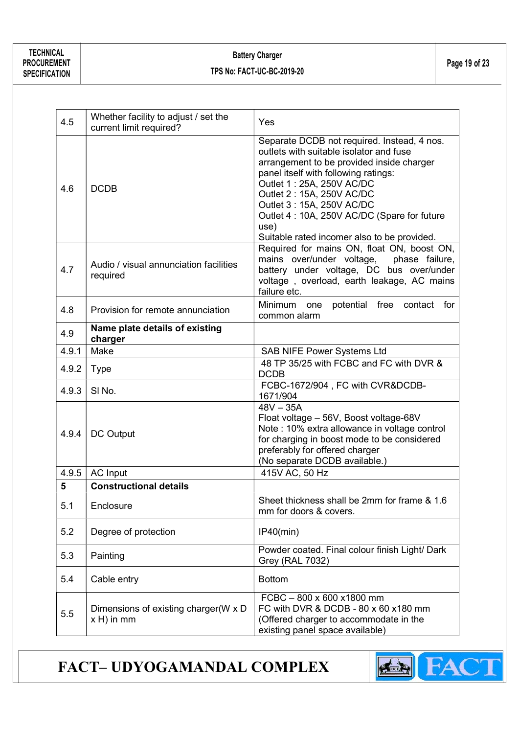| 4.5   | Whether facility to adjust / set the<br>current limit required? | Yes                                                                                                                                                                                                                                                                                                                                                                      |
|-------|-----------------------------------------------------------------|--------------------------------------------------------------------------------------------------------------------------------------------------------------------------------------------------------------------------------------------------------------------------------------------------------------------------------------------------------------------------|
| 4.6   | <b>DCDB</b>                                                     | Separate DCDB not required. Instead, 4 nos.<br>outlets with suitable isolator and fuse<br>arrangement to be provided inside charger<br>panel itself with following ratings:<br>Outlet 1: 25A, 250V AC/DC<br>Outlet 2: 15A, 250V AC/DC<br>Outlet 3: 15A, 250V AC/DC<br>Outlet 4: 10A, 250V AC/DC (Spare for future<br>use)<br>Suitable rated incomer also to be provided. |
| 4.7   | Audio / visual annunciation facilities<br>required              | Required for mains ON, float ON, boost ON,<br>mains over/under voltage,<br>phase failure,<br>battery under voltage, DC bus over/under<br>voltage, overload, earth leakage, AC mains<br>failure etc.                                                                                                                                                                      |
| 4.8   | Provision for remote annunciation                               | Minimum one potential free contact for<br>common alarm                                                                                                                                                                                                                                                                                                                   |
| 4.9   | Name plate details of existing<br>charger                       |                                                                                                                                                                                                                                                                                                                                                                          |
| 4.9.1 | Make                                                            | <b>SAB NIFE Power Systems Ltd</b>                                                                                                                                                                                                                                                                                                                                        |
| 4.9.2 | <b>Type</b>                                                     | 48 TP 35/25 with FCBC and FC with DVR &<br><b>DCDB</b>                                                                                                                                                                                                                                                                                                                   |
| 4.9.3 | SI <sub>No.</sub>                                               | FCBC-1672/904, FC with CVR&DCDB-<br>1671/904                                                                                                                                                                                                                                                                                                                             |
| 4.9.4 | DC Output                                                       | $48V - 35A$<br>Float voltage - 56V, Boost voltage-68V<br>Note : 10% extra allowance in voltage control<br>for charging in boost mode to be considered<br>preferably for offered charger<br>(No separate DCDB available.)                                                                                                                                                 |
| 4.9.5 | <b>AC Input</b>                                                 | 415V AC, 50 Hz                                                                                                                                                                                                                                                                                                                                                           |
| 5     | <b>Constructional details</b>                                   |                                                                                                                                                                                                                                                                                                                                                                          |
| 5.1   | Enclosure                                                       | Sheet thickness shall be 2mm for frame & 1.6<br>mm for doors & covers.                                                                                                                                                                                                                                                                                                   |
| 5.2   | Degree of protection                                            | IP40(min)                                                                                                                                                                                                                                                                                                                                                                |
| 5.3   | Painting                                                        | Powder coated. Final colour finish Light/ Dark<br><b>Grey (RAL 7032)</b>                                                                                                                                                                                                                                                                                                 |
| 5.4   | Cable entry                                                     | <b>Bottom</b>                                                                                                                                                                                                                                                                                                                                                            |
| 5.5   | Dimensions of existing charger (W x D<br>$x H$ ) in mm          | FCBC-800 x 600 x1800 mm<br>FC with DVR & DCDB - 80 x 60 x 180 mm<br>(Offered charger to accommodate in the<br>existing panel space available)                                                                                                                                                                                                                            |

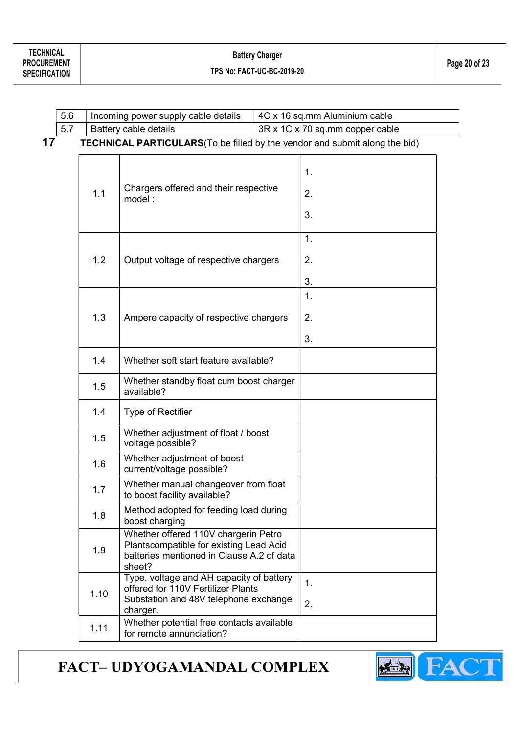|    | 5.6 | Incoming power supply cable details          |                                                                                                                                        |  | 4C x 16 sq.mm Aluminium cable   |  |
|----|-----|----------------------------------------------|----------------------------------------------------------------------------------------------------------------------------------------|--|---------------------------------|--|
|    | 5.7 | Battery cable details                        |                                                                                                                                        |  | 3R x 1C x 70 sq.mm copper cable |  |
| 17 |     |                                              | <b>TECHNICAL PARTICULARS</b> (To be filled by the vendor and submit along the bid)                                                     |  |                                 |  |
|    |     | 1.1                                          | Chargers offered and their respective<br>model:                                                                                        |  | 1.<br>2.<br>3.                  |  |
|    |     | 1.2<br>Output voltage of respective chargers |                                                                                                                                        |  | 1.<br>2.<br>3.                  |  |
|    |     | 1.3                                          | Ampere capacity of respective chargers                                                                                                 |  | 1.<br>2.<br>3.                  |  |
|    |     | 1.4                                          | Whether soft start feature available?                                                                                                  |  |                                 |  |
|    |     | 1.5                                          | Whether standby float cum boost charger<br>available?                                                                                  |  |                                 |  |
|    |     | 1.4                                          | Type of Rectifier                                                                                                                      |  |                                 |  |
|    |     | 1.5                                          | Whether adjustment of float / boost<br>voltage possible?                                                                               |  |                                 |  |
|    |     | 1.6                                          | Whether adjustment of boost<br>current/voltage possible?                                                                               |  |                                 |  |
|    |     | 1.7                                          | Whether manual changeover from float<br>to boost facility available?                                                                   |  |                                 |  |
|    |     | 1.8                                          | Method adopted for feeding load during<br>boost charging                                                                               |  |                                 |  |
|    |     | 1.9                                          | Whether offered 110V chargerin Petro<br>Plantscompatible for existing Lead Acid<br>batteries mentioned in Clause A.2 of data<br>sheet? |  |                                 |  |
|    |     | 1.10                                         | Type, voltage and AH capacity of battery<br>offered for 110V Fertilizer Plants<br>Substation and 48V telephone exchange<br>charger.    |  | 1.<br>2.                        |  |
|    |     | 1.11                                         | Whether potential free contacts available<br>for remote annunciation?                                                                  |  |                                 |  |

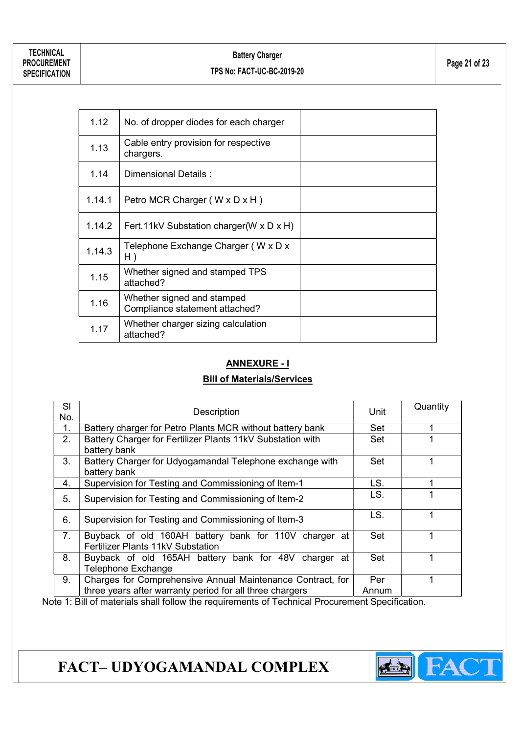| 1.12   | No. of dropper diodes for each charger                       |  |
|--------|--------------------------------------------------------------|--|
| 1.13   | Cable entry provision for respective<br>chargers.            |  |
| 1.14   | Dimensional Details:                                         |  |
| 1.14.1 | Petro MCR Charger (W x D x H)                                |  |
| 1.14.2 | Fert. 11kV Substation charger (W x D x H)                    |  |
| 1.14.3 | Telephone Exchange Charger (W x D x<br>H)                    |  |
| 1.15   | Whether signed and stamped TPS<br>attached?                  |  |
| 1.16   | Whether signed and stamped<br>Compliance statement attached? |  |
| 1.17   | Whether charger sizing calculation<br>attached?              |  |

#### ANNEXURE - I

#### Bill of Materials/Services

| SI<br>No. | Description                                                                                                                                                                                                                                                                                                                                                                                                     | Unit  | Quantity |
|-----------|-----------------------------------------------------------------------------------------------------------------------------------------------------------------------------------------------------------------------------------------------------------------------------------------------------------------------------------------------------------------------------------------------------------------|-------|----------|
| 1.        | Battery charger for Petro Plants MCR without battery bank                                                                                                                                                                                                                                                                                                                                                       | Set   |          |
| 2.        | Battery Charger for Fertilizer Plants 11kV Substation with<br>battery bank                                                                                                                                                                                                                                                                                                                                      | Set   |          |
| 3.        | Battery Charger for Udyogamandal Telephone exchange with<br>battery bank                                                                                                                                                                                                                                                                                                                                        | Set   |          |
| 4.        | Supervision for Testing and Commissioning of Item-1                                                                                                                                                                                                                                                                                                                                                             | LS.   |          |
| 5.        | Supervision for Testing and Commissioning of Item-2                                                                                                                                                                                                                                                                                                                                                             | LS.   |          |
| 6.        | Supervision for Testing and Commissioning of Item-3                                                                                                                                                                                                                                                                                                                                                             | LS.   |          |
| 7.        | Buyback of old 160AH battery bank for 110V charger at<br>Fertilizer Plants 11kV Substation                                                                                                                                                                                                                                                                                                                      | Set   |          |
| 8.        | Buyback of old 165AH battery bank for 48V charger at<br><b>Telephone Exchange</b>                                                                                                                                                                                                                                                                                                                               | Set   |          |
| 9.        | Charges for Comprehensive Annual Maintenance Contract, for                                                                                                                                                                                                                                                                                                                                                      | Per   |          |
|           | three years after warranty period for all three chargers<br>$\overline{a}$ , $\overline{a}$ , $\overline{a}$ , $\overline{a}$ , $\overline{a}$ , $\overline{a}$ , $\overline{a}$ , $\overline{a}$ , $\overline{a}$ , $\overline{a}$ , $\overline{a}$ , $\overline{a}$ , $\overline{a}$ , $\overline{a}$ , $\overline{a}$ , $\overline{a}$ , $\overline{a}$ , $\overline{a}$ , $\overline{a}$ , $\overline{a}$ , | Annum |          |

Note 1: Bill of materials shall follow the requirements of Technical Procurement Specification.

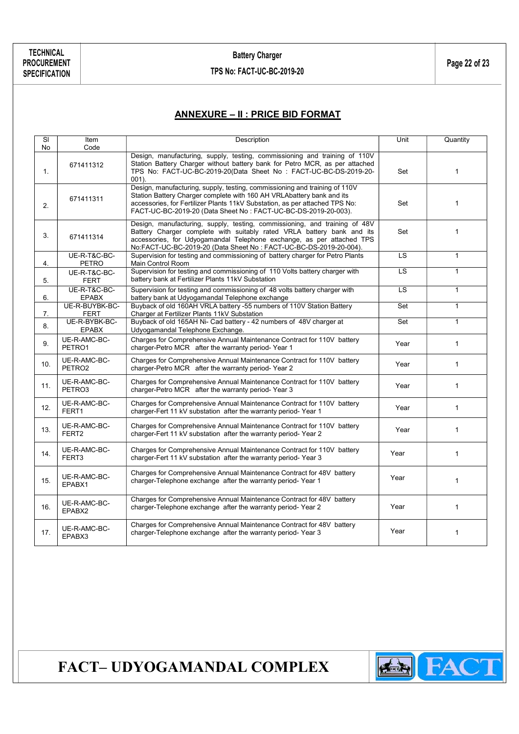#### ANNEXURE – II : PRICE BID FORMAT

| SI<br>No | Item<br>Code                       | Description                                                                                                                                                                                                                                                                                          | Unit      | Quantity     |
|----------|------------------------------------|------------------------------------------------------------------------------------------------------------------------------------------------------------------------------------------------------------------------------------------------------------------------------------------------------|-----------|--------------|
| 1.       | 671411312                          | Design, manufacturing, supply, testing, commissioning and training of 110V<br>Station Battery Charger without battery bank for Petro MCR, as per attached<br>TPS No: FACT-UC-BC-2019-20(Data Sheet No: FACT-UC-BC-DS-2019-20-<br>$001$ ).                                                            | Set       | $\mathbf{1}$ |
| 2.       | 671411311                          | Design, manufacturing, supply, testing, commissioning and training of 110V<br>Station Battery Charger complete with 160 AH VRLAbattery bank and its<br>accessories, for Fertilizer Plants 11kV Substation, as per attached TPS No:<br>FACT-UC-BC-2019-20 (Data Sheet No: FACT-UC-BC-DS-2019-20-003). | Set       | $\mathbf{1}$ |
| 3.       | 671411314                          | Design, manufacturing, supply, testing, commissioning, and training of 48V<br>Battery Charger complete with suitably rated VRLA battery bank and its<br>accessories, for Udyogamandal Telephone exchange, as per attached TPS<br>No:FACT-UC-BC-2019-20 (Data Sheet No: FACT-UC-BC-DS-2019-20-004).   | Set       | $\mathbf{1}$ |
| 4.       | UE-R-T&C-BC-<br><b>PETRO</b>       | Supervision for testing and commissioning of battery charger for Petro Plants<br>Main Control Room                                                                                                                                                                                                   | LS        | $\mathbf{1}$ |
| 5.       | UE-R-T&C-BC-<br><b>FERT</b>        | Supervision for testing and commissioning of 110 Volts battery charger with<br>battery bank at Fertilizer Plants 11kV Substation                                                                                                                                                                     | LS        | $\mathbf{1}$ |
| 6.       | UE-R-T&C-BC-<br><b>EPABX</b>       | Supervision for testing and commissioning of 48 volts battery charger with<br>battery bank at Udyogamandal Telephone exchange                                                                                                                                                                        | <b>LS</b> | $\mathbf{1}$ |
| 7.       | UE-R-BUYBK-BC-<br><b>FERT</b>      | Buyback of old 160AH VRLA battery -55 numbers of 110V Station Battery<br>Charger at Fertilizer Plants 11kV Substation                                                                                                                                                                                | Set       | $\mathbf{1}$ |
| 8.       | UE-R-BYBK-BC-<br><b>EPABX</b>      | Buyback of old 165AH Ni- Cad battery - 42 numbers of 48V charger at<br>Udyogamandal Telephone Exchange.                                                                                                                                                                                              | Set       | $\mathbf{1}$ |
| 9.       | UE-R-AMC-BC-<br>PETRO1             | Charges for Comprehensive Annual Maintenance Contract for 110V battery<br>charger-Petro MCR after the warranty period-Year 1                                                                                                                                                                         | Year      | $\mathbf{1}$ |
| 10.      | UE-R-AMC-BC-<br>PETRO <sub>2</sub> | Charges for Comprehensive Annual Maintenance Contract for 110V battery<br>charger-Petro MCR after the warranty period-Year 2                                                                                                                                                                         | Year      | $\mathbf{1}$ |
| 11.      | UE-R-AMC-BC-<br>PETRO3             | Charges for Comprehensive Annual Maintenance Contract for 110V battery<br>charger-Petro MCR after the warranty period-Year 3                                                                                                                                                                         | Year      | $\mathbf{1}$ |
| 12.      | UE-R-AMC-BC-<br>FERT1              | Charges for Comprehensive Annual Maintenance Contract for 110V battery<br>charger-Fert 11 kV substation after the warranty period-Year 1                                                                                                                                                             | Year      | $\mathbf{1}$ |
| 13.      | UE-R-AMC-BC-<br>FERT <sub>2</sub>  | Charges for Comprehensive Annual Maintenance Contract for 110V battery<br>charger-Fert 11 kV substation after the warranty period-Year 2                                                                                                                                                             | Year      | $\mathbf{1}$ |
| 14.      | UE-R-AMC-BC-<br>FERT3              | Charges for Comprehensive Annual Maintenance Contract for 110V battery<br>charger-Fert 11 kV substation after the warranty period-Year 3                                                                                                                                                             | Year      | $\mathbf{1}$ |
| 15.      | UE-R-AMC-BC-<br>EPABX1             | Charges for Comprehensive Annual Maintenance Contract for 48V battery<br>charger-Telephone exchange after the warranty period-Year 1                                                                                                                                                                 | Year      | $\mathbf{1}$ |
| 16.      | UE-R-AMC-BC-<br>EPABX2             | Charges for Comprehensive Annual Maintenance Contract for 48V battery<br>charger-Telephone exchange after the warranty period-Year 2                                                                                                                                                                 | Year      | $\mathbf{1}$ |
| 17.      | UE-R-AMC-BC-<br>EPABX3             | Charges for Comprehensive Annual Maintenance Contract for 48V battery<br>charger-Telephone exchange after the warranty period-Year 3                                                                                                                                                                 | Year      | $\mathbf{1}$ |